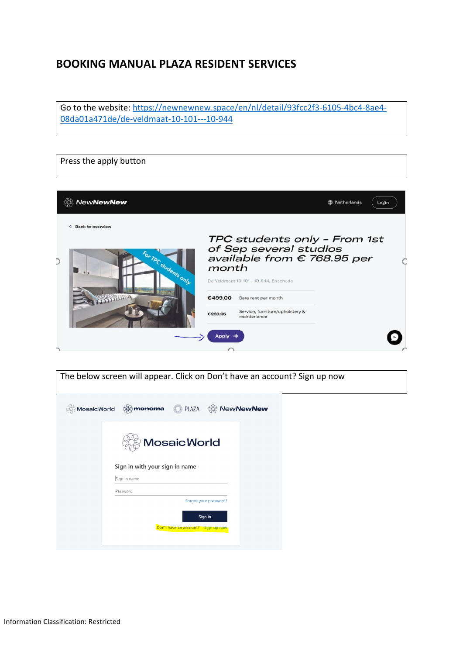## **BOOKING MANUAL PLAZA RESIDENT SERVICES**

Go to the website: [https://newnewnew.space/en/nl/detail/93fcc2f3-6105-4bc4-8ae4-](https://newnewnew.space/en/nl/detail/93fcc2f3-6105-4bc4-8ae4-08da01a471de/de-veldmaat-10-101---10-944) [08da01a471de/de-veldmaat-10-101---10-944](https://newnewnew.space/en/nl/detail/93fcc2f3-6105-4bc4-8ae4-08da01a471de/de-veldmaat-10-101---10-944)

٦

| Press the apply button                                |                                                                                                                                         |  |
|-------------------------------------------------------|-----------------------------------------------------------------------------------------------------------------------------------------|--|
| <b>NewNewNew</b>                                      | Netherlands<br>Login<br>ŒÞ                                                                                                              |  |
| <b>Back to overview</b><br>←<br>For ThC students only | TPC students only - From 1st<br>of Sep several studios<br>available from € 768.95 per<br>month<br>De Veldmaat 10-101 - 10-944, Enschede |  |
| <b>SOBODIN</b>                                        | €499,00<br>Bare rent per month<br>Service, furniture/upholstery &<br>€269,95<br>maintenance<br>Apply                                    |  |

|                    | The below screen will appear. Click on Don't have an account? Sign up now          |
|--------------------|------------------------------------------------------------------------------------|
| Mosaic World<br>82 | ∰monoma<br>PLAZA<br><b><i>Soll NewNewNew</i></b><br>it b                           |
|                    | <b>MosaicWorld</b><br>Sign in with your sign in name                               |
|                    | Sign in name                                                                       |
|                    |                                                                                    |
|                    | Password<br>Forgot your password?<br>Sign in<br>Don't have an account? Sign up now |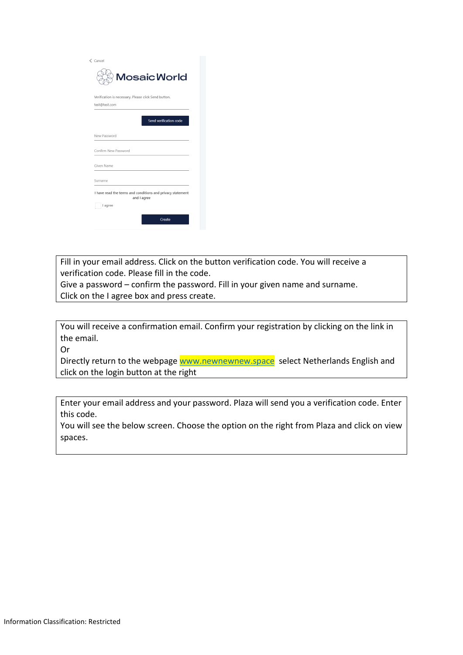| $\zeta$ Cancel                                                            |
|---------------------------------------------------------------------------|
| <b>Mosaic World</b>                                                       |
| Verification is necessary. Please click Send button.                      |
| test@test.com                                                             |
| Send verification code                                                    |
| New Password                                                              |
| Confirm New Password                                                      |
| Given Name                                                                |
| Surname                                                                   |
| I have read the terms and conditions and privacy statement<br>and I agree |
| I agree                                                                   |
| Create                                                                    |
|                                                                           |

Fill in your email address. Click on the button verification code. You will receive a verification code. Please fill in the code.

Give a password – confirm the password. Fill in your given name and surname. Click on the I agree box and press create.

You will receive a confirmation email. Confirm your registration by clicking on the link in the email.

Or

Directly return to the webpage [www.newnewnew.space](http://www.newnewnew.space/) select Netherlands English and click on the login button at the right

Enter your email address and your password. Plaza will send you a verification code. Enter this code.

You will see the below screen. Choose the option on the right from Plaza and click on view spaces.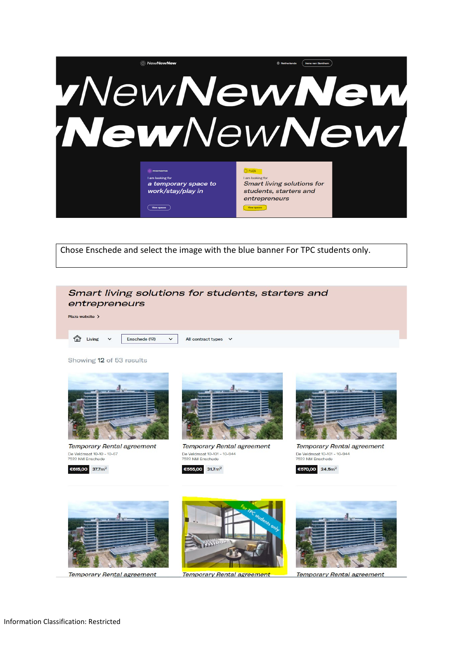

Chose Enschede and select the image with the blue banner For TPC students only.

## Smart living solutions for students, starters and entrepreneurs

Plaza website >

 $\bigcap$  Living

All contract types v

Showing 12 of 53 results



Enschede (12)

 $\ddot{\phantom{0}}$ 

**Temporary Rental agreement** De Veldmaat 10-10 - 10-67<br>7522 NM Enschede





**Temporary Rental agreement** De Veldmaat 10-101 - 10-944<br>7522 NM Enschede

€555,00 31.7m<sup>2</sup>



**Temporary Rental agreement** De Veldmaat 10-101 - 10-944<br>7522 NM Enschede

 $6570,00$  24.5m<sup>2</sup>



**Temporary Rental agreement** 

Temporary Rental agreement

**Temporary Rental agreement**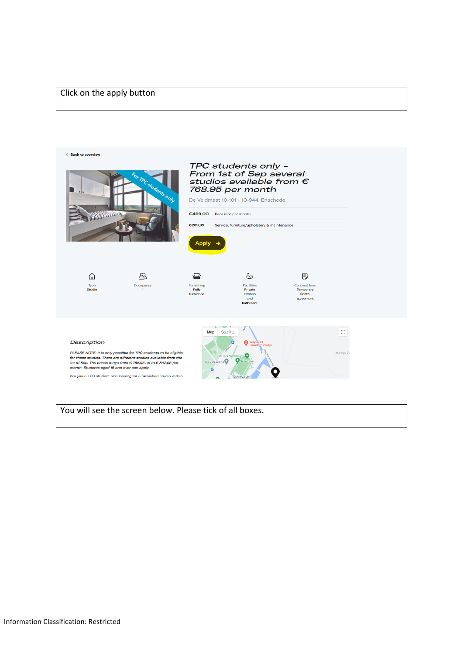## Click on the apply button



You will see the screen below. Please tick of all boxes.